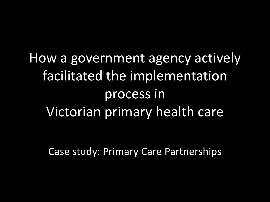How a government agency actively facilitated the implementation process in Victorian primary health care

Case study: Primary Care Partnerships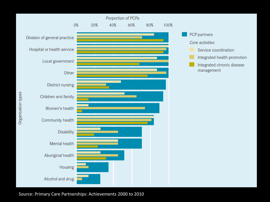

Source: Primary Care Partnerships: Achievements 2000 to 2010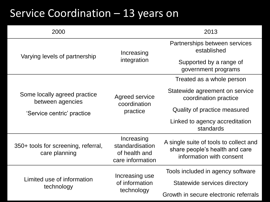# Service Coordination – 13 years on

| 2000                                                 | 2013                                                               |                                                                                                      |  |
|------------------------------------------------------|--------------------------------------------------------------------|------------------------------------------------------------------------------------------------------|--|
| Varying levels of partnership                        | Increasing                                                         | Partnerships between services<br>established                                                         |  |
|                                                      | integration                                                        | Supported by a range of<br>government programs                                                       |  |
|                                                      |                                                                    |                                                                                                      |  |
| Some locally agreed practice<br>between agencies     | Agreed service<br>coordination                                     | Statewide agreement on service<br>coordination practice                                              |  |
| 'Service centric' practice                           | practice                                                           | Quality of practice measured                                                                         |  |
|                                                      |                                                                    | Linked to agency accreditation<br>standards                                                          |  |
| 350+ tools for screening, referral,<br>care planning | Increasing<br>standardisation<br>of health and<br>care information | A single suite of tools to collect and<br>share people's health and care<br>information with consent |  |
| Limited use of information<br>technology             | Increasing use                                                     | Tools included in agency software                                                                    |  |
|                                                      | of information                                                     | Statewide services directory                                                                         |  |
|                                                      | technology                                                         | Growth in secure electronic referrals                                                                |  |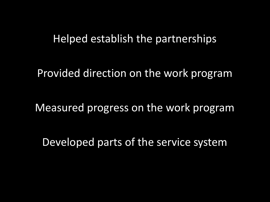## Helped establish the partnerships

Provided direction on the work program

Measured progress on the work program

Developed parts of the service system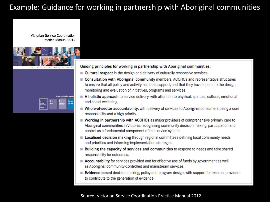### Example: Guidance for working in partnership with Aboriginal communities

**Victorian Service Coordination** Practice Manual 2012



| <b>Victorian</b><br><b>Service</b><br>Coardination<br><b>Practice</b><br>Manual | <b>Good Practice</b><br>,,,,<br><b>Builder</b> | Continuous<br><b>BETAPACES</b> | 50112012<br><b><i><u>User Cuide</u></i></b> |
|---------------------------------------------------------------------------------|------------------------------------------------|--------------------------------|---------------------------------------------|
|---------------------------------------------------------------------------------|------------------------------------------------|--------------------------------|---------------------------------------------|

Guiding principles for working in partnership with Aboriginal communities:

- Cultural respect in the design and delivery of culturally responsive services.
- Consultation with Aboriginal community members, ACCHOs and representative structures to ensure that all policy and activity has their support, and that they have input into the design, monitoring and evaluation of initiatives, programs and services.
- A holistic approach to service delivery, with attention to physical, spiritual, cultural, emotional and social wellbeing.
- Whole-of-sector accountability, with delivery of services to Aboriginal consumers being a core responsibility and a high priority.
- Working in partnership with ACCHOs as major providers of comprehensive primary care to Aboriginal communities in Victoria, recognising community decision making, participation and control as a fundamental component of the service system.
- Localised decision making through regional committees defining local community needs and priorities and informing implementation strategies.
- **Building the capacity of services and communities** to respond to needs and take shared responsibility for outcomes.
- Accountability for services provided and for effective use of funds by government as well as Aboriginal community-controlled and mainstream services.
- Evidence-based decision making, policy and program design, with support for external providers to contribute to the generation of evidence.

#### Source: Victorian Service Coordination Practice Manual 2012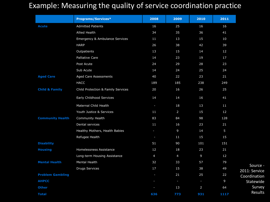### Example: Measuring the quality of service coordination practice

|                           | <b>Programs/Services*</b>          | 2008           | 2009           | 2010           | 2011           |                           |
|---------------------------|------------------------------------|----------------|----------------|----------------|----------------|---------------------------|
| <b>Acute</b>              | <b>Admitted Patients</b>           | 16             | 25             | 16             | 16             |                           |
|                           | Allied Health                      | 34             | 35             | 36             | 41             |                           |
|                           | Emergency & Ambulance Services     | 11             | 13             | 15             | 10             |                           |
|                           | <b>HARP</b>                        | 26             | 38             | 42             | 39             |                           |
|                           | Outpatients                        | 13             | 15             | 14             | 12             |                           |
|                           | Palliative Care                    | 14             | 23             | 19             | 17             |                           |
|                           | Post Acute                         | 24             | 29             | 28             | 23             |                           |
|                           | Sub Acute                          | 14             | 24             | 25             | 24             |                           |
| <b>Aged Care</b>          | Aged Care Assessments              | 40             | 22             | 23             | 21             |                           |
|                           | <b>HACC</b>                        | 189            | 185            | 238            | 249            |                           |
| <b>Child &amp; Family</b> | Child Protection & Family Services | 20             | 16             | 26             | 25             |                           |
|                           | Early Childhood Services           | 14             | 14             | 16             | 41             |                           |
|                           | Maternal Child Health              | н              | 18             | 13             | 11             |                           |
|                           | Youth Justice & Services           | 11             | $\overline{2}$ | 15             | 12             |                           |
| <b>Community Health</b>   | Community Health                   | 83             | 84             | 98             | 128            |                           |
|                           | Dental services                    | 11             | 16             | 23             | 21             |                           |
|                           | Healthy Mothers, Health Babies     | $\sim$         | $\overline{9}$ | 14             | 5              |                           |
|                           | Refugee Health                     | $\blacksquare$ | 11             | 15             | 15             |                           |
| <b>Disability</b>         |                                    | 51             | 90             | 101            | 151            |                           |
| <b>Housing</b>            | Homelessness Assistance            | 12             | 18             | 23             | 21             |                           |
|                           | Long-term Housing Assistance       | $\overline{4}$ | $\overline{4}$ | 9              | 12             |                           |
| <b>Mental Health</b>      | Mental Health                      | 32             | 33             | 57             | 79             |                           |
|                           | <b>Drugs Services</b>              | 17             | 15             | 38             | 49             | Source -<br>2011: Service |
| <b>Problem Gambling</b>   |                                    | $\blacksquare$ | 21             | 25             | 22             | Coordination              |
| <b>AHPCC</b>              |                                    | ÷,             | $\blacksquare$ | $\blacksquare$ | $\overline{9}$ | Statewide                 |
| <b>Other</b>              |                                    |                | 13             | $\overline{2}$ | 64             | Survey                    |
| <b>Total</b>              |                                    | 636            | 773            | 931            | 1117           | Results                   |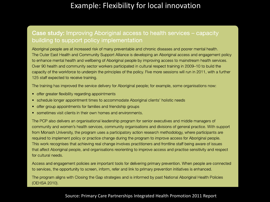### Example: Flexibility for local innovation

#### Case study: Improving Aboriginal access to health services – capacity building to support policy implementation

Aboriginal people are at increased risk of many preventable and chronic diseases and poorer mental health. The Outer East Health and Community Support Alliance is developing an Aboriginal access and engagement policy to enhance mental health and wellbeing of Aboriginal people by improving access to mainstream health services. Over 90 health and community sector workers participated in cultural respect training in 2009–10 to build the capacity of the workforce to underpin the principles of the policy. Five more sessions will run in 2011, with a further 125 staff expected to receive training.

The training has improved the service delivery for Aboriginal people; for example, some organisations now:

- offer greater flexibility regarding appointments
- schedule longer appointment times to accommodate Aboriginal clients' holistic needs
- offer group appointments for families and friendship groups
- sometimes visit clients in their own homes and environments.

The PCP also delivers an organisational leadership program for senior executives and middle managers of community and women's health services, community organisations and divisions of general practice. With support from Monash University, the program uses a participatory action research methodology, where participants are required to implement policy or practice change during the program to improve access for Aboriginal people. This work recognises that achieving real change involves practitioners and frontline staff being aware of issues that affect Aboriginal people, and organisations reorienting to improve access and practise sensitivity and respect for cultural needs.

Access and engagement policies are important tools for delivering primary prevention. When people are connected to services, the opportunity to screen, inform, refer and link to primary prevention initiatives is enhanced.

The program aligns with Closing the Gap strategies and is informed by past National Aboriginal Health Policies (OEHSA 2010).

#### Source: Primary Care Partnerships Integrated Health Promotion 2011 Report